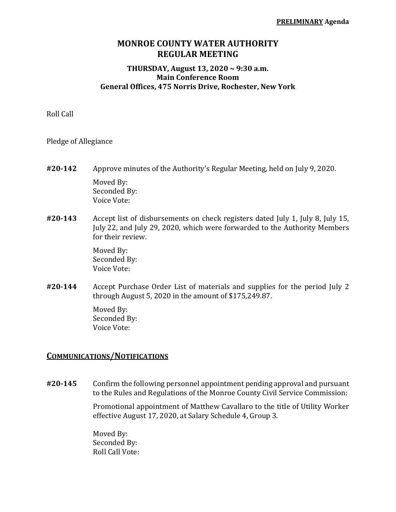## **MONROE COUNTY WATER AUTHORITY REGULAR MEETING**

## **THURSDAY, August 13, 2020 ~ 9:30 a.m. Main Conference Room General Offices, 475 Norris Drive, Rochester, New York**

Roll Call

Pledge of Allegiance

- **#20‐142** Approve minutes of the Authority's Regular Meeting, held on July 9, 2020. Moved By: Seconded By: Voice Vote:
- **#20‐143** Accept list of disbursements on check registers dated July 1, July 8, July 15, July 22, and July 29, 2020, which were forwarded to the Authority Members for their review.

 Moved By: Seconded By: Voice Vote:

**#20‐144** Accept Purchase Order List of materials and supplies for the period July 2 through August 5, 2020 in the amount of \$175,249.87.

> Moved By: Seconded By: Voice Vote:

## **COMMUNICATIONS/NOTIFICATIONS**

**#20‐145** Confirm the following personnel appointment pending approval and pursuant to the Rules and Regulations of the Monroe County Civil Service Commission:

> Promotional appointment of Matthew Cavallaro to the title of Utility Worker effective August 17, 2020, at Salary Schedule 4, Group 3.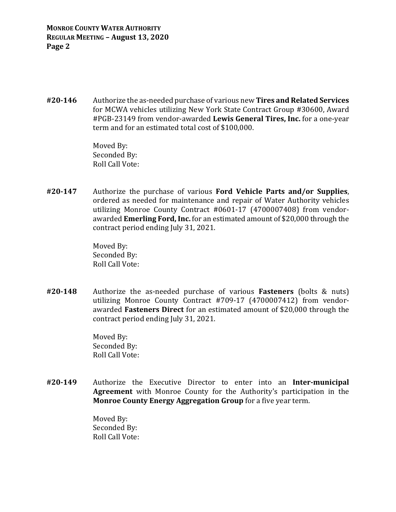**MONROE COUNTY WATER AUTHORITY REGULAR MEETING – August 13, 2020 Page 2**

**#20‐146** Authorize the as-needed purchase of various new **Tires and Related Services** for MCWA vehicles utilizing New York State Contract Group #30600, Award #PGB-23149 from vendor-awarded **Lewis General Tires, Inc.** for a one-year term and for an estimated total cost of \$100,000.

> Moved By: Seconded By: Roll Call Vote:

**#20‐147** Authorize the purchase of various **Ford Vehicle Parts and/or Supplies**, ordered as needed for maintenance and repair of Water Authority vehicles utilizing Monroe County Contract #0601-17 (4700007408) from vendorawarded **Emerling Ford, Inc.** for an estimated amount of \$20,000 through the contract period ending July 31, 2021.

> Moved By: Seconded By: Roll Call Vote:

**#20‐148** Authorize the as-needed purchase of various **Fasteners** (bolts & nuts) utilizing Monroe County Contract #709-17 (4700007412) from vendorawarded **Fasteners Direct** for an estimated amount of \$20,000 through the contract period ending July 31, 2021.

> Moved By: Seconded By: Roll Call Vote:

**#20‐149** Authorize the Executive Director to enter into an **Inter‐municipal Agreement** with Monroe County for the Authority's participation in the **Monroe County Energy Aggregation Group** for a five year term.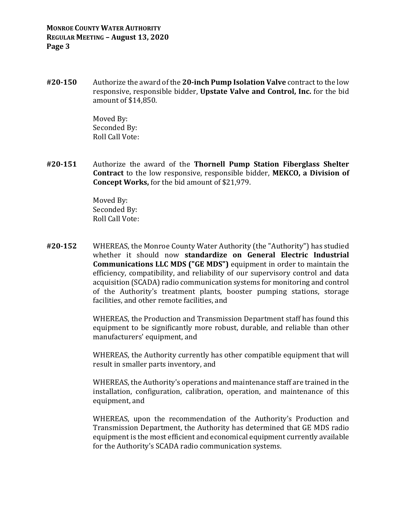**#20‐150** Authorize the award of the **20‐inch Pump Isolation Valve** contract to the low responsive, responsible bidder, **Upstate Valve and Control, Inc.** for the bid amount of \$14,850.

> Moved By: Seconded By: Roll Call Vote:

**#20‐151** Authorize the award of the **Thornell Pump Station Fiberglass Shelter Contract** to the low responsive, responsible bidder, **MEKCO, a Division of Concept Works,** for the bid amount of \$21,979.

> Moved By: Seconded By: Roll Call Vote:

**#20‐152** WHEREAS, the Monroe County Water Authority (the "Authority") has studied whether it should now **standardize on General Electric Industrial Communications LLC MDS ("GE MDS")** equipment in order to maintain the efficiency, compatibility, and reliability of our supervisory control and data acquisition (SCADA) radio communication systems for monitoring and control of the Authority's treatment plants, booster pumping stations, storage facilities, and other remote facilities, and

> WHEREAS, the Production and Transmission Department staff has found this equipment to be significantly more robust, durable, and reliable than other manufacturers' equipment, and

> WHEREAS, the Authority currently has other compatible equipment that will result in smaller parts inventory, and

> WHEREAS, the Authority's operations and maintenance staff are trained in the installation, configuration, calibration, operation, and maintenance of this equipment, and

> WHEREAS, upon the recommendation of the Authority's Production and Transmission Department, the Authority has determined that GE MDS radio equipment is the most efficient and economical equipment currently available for the Authority's SCADA radio communication systems.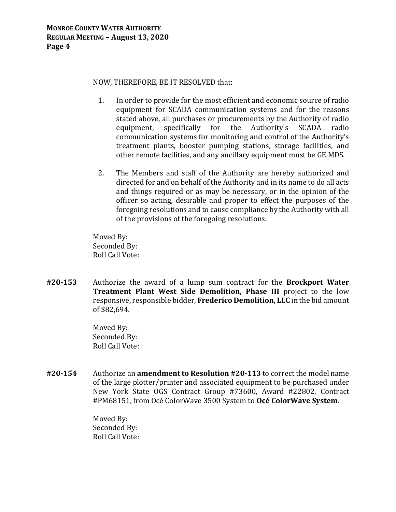## NOW, THEREFORE, BE IT RESOLVED that:

- 1. In order to provide for the most efficient and economic source of radio equipment for SCADA communication systems and for the reasons stated above, all purchases or procurements by the Authority of radio equipment, specifically for the Authority's SCADA radio communication systems for monitoring and control of the Authority's treatment plants, booster pumping stations, storage facilities, and other remote facilities, and any ancillary equipment must be GE MDS.
- 2. The Members and staff of the Authority are hereby authorized and directed for and on behalf of the Authority and in its name to do all acts and things required or as may be necessary, or in the opinion of the officer so acting, desirable and proper to effect the purposes of the foregoing resolutions and to cause compliance by the Authority with all of the provisions of the foregoing resolutions.

Moved By: Seconded By: Roll Call Vote:

**#20‐153** Authorize the award of a lump sum contract for the **Brockport Water Treatment Plant West Side Demolition, Phase III** project to the low responsive, responsible bidder, **Frederico Demolition, LLC** in the bid amount of \$82,694.

> Moved By: Seconded By: Roll Call Vote:

**#20‐154** Authorize an **amendment to Resolution #20‐113** to correct the model name of the large plotter/printer and associated equipment to be purchased under New York State OGS Contract Group #73600, Award #22802, Contract #PM68151, from Océ ColorWave 3500 System to **Océ ColorWave System**.